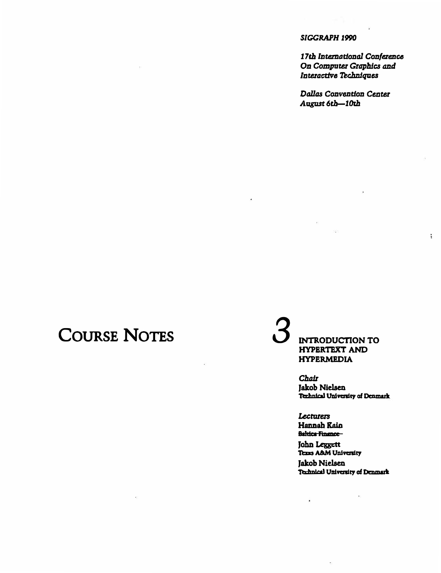#### SIGGRAPH 1990

17th International Conference On Computer Graphics and Interactive Techniques

Đ

Dallas Convention Center August 6th-10th

## **COURSE NOTES**

**INTRODUCTION TO HYPERTEXT AND HYPERMEDIA** 

> **Chair Jakob Nielsen** Technical University of Denmark

Lecturers Hannah Kain **Baltica Finance-**

 $\hat{\mathbf{z}}$ 

 $\ddot{\phantom{a}}$ 

John Leggett Texas A&M University Jakob Nielsen Technical University of Denmark

 $\epsilon$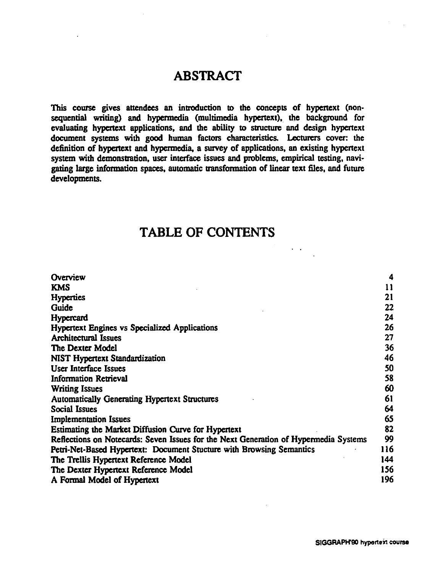## **ABSTRACT**

This course gives attendees an introduction to the concepts of hypertext (nonsequential writing) and hypermedia (multimedia hypertext), the background for evaluating hypenext applications, and the ability to structure and design hypenext document systems with good human factors characteristics. Lecturers cover: the definition of hypenext and hypennedia, a survey of applications, an existing hypenext system with demonstration, user interface issues and problems, empirical testing, navigating large information spaces, automatic transformation of linear text files, and future developments.

### TABLE OF CONTENTS

| Overview                                                                             | 4   |
|--------------------------------------------------------------------------------------|-----|
| <b>KMS</b>                                                                           | 11  |
| <b>Hyperties</b>                                                                     | 21  |
| Guide                                                                                | 22  |
| Hypercard                                                                            | 24  |
| <b>Hypertext Engines vs Specialized Applications</b>                                 | 26  |
| <b>Architectural Issues</b>                                                          | 27  |
| The Dexter Model                                                                     | 36  |
| <b>NIST Hypertext Standardization</b>                                                | 46  |
| <b>User Interface Issues</b>                                                         | 50  |
| <b>Information Retrieval</b>                                                         | 58  |
| <b>Writing Issues</b>                                                                | 60  |
| <b>Automatically Generating Hypertext Structures</b>                                 | 61  |
| <b>Social Issues</b>                                                                 | 64  |
| <b>Implementation Issues</b>                                                         | 65  |
| Estimating the Market Diffusion Curve for Hypertext                                  | 82  |
| Reflections on Notecards: Seven Issues for the Next Generation of Hypermedia Systems | 99  |
| Petri-Net-Based Hypertext: Document Stucture with Browsing Semantics                 | 116 |
| The Trellis Hypertext Reference Model                                                | 144 |
| The Dexter Hypertext Reference Model                                                 | 156 |
| A Formal Model of Hypertext                                                          | 196 |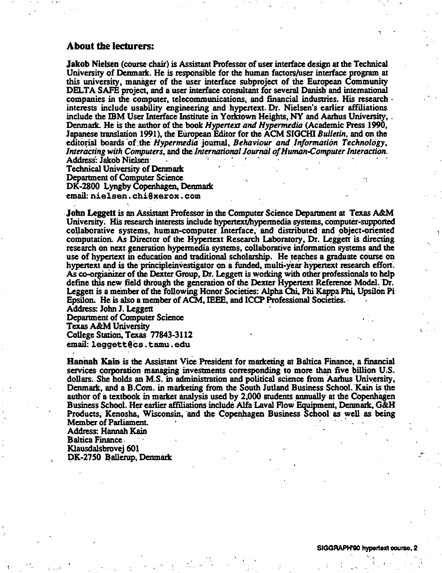#### About tbe lecturers:

Jakob Nielsen (course chair) is Assistant Professor of user interface design at the Tedmical University of Denmark. He is responsible for the human factors/user interface program at this university, manager of the user interface subproject of the European Community DELTA SAFE project, and a user interface consultant for several Danish and international companies in the computer, telecommunications, and financial industries. His research  $\cdot$ interests include usability engineering and hypenext. Dr. Nielsen's earlier affiliations include the IBM User Interface Institute in Yorktown Heights, NY and Aarhus University, . Denmmk. He is the author of the book *Hypertexr and Hypermedia* (Academic Press .1990, Japanese ttanslation 1991), the EUropean Editor for the ACM SIGCHI *Bulletin,* and on. the editorial boards of the *Hypermedia journal, Behaviour and Information Technology, Interacting with Computers, and the International Journal of Human-Computer Interaction.* Address: Jakob Nielsen

Technical University of Denmark Department of Computer Science DK-2800 Lyngby Copenhagen, Denmark email:nielsen.chi@xerox.com

John Leggett is an Assistant Professor in the Computer Science Department at Texas A&M University. His research interests include hypenext/hypermedia systems, computer-supported collaborative systems, human-computer. Interface, and distributed and object-oriented computation. As Director of the Hypertext Research Laboratory, Dr. Leggett is directing research on next. generation hypermedia systems, collaborative information systems and the use of hypertext in education and traditional scholarship. He teaches a graduate course on hypertext and is the principle investigator on a funded, multi-year hypertext research effort. As co-orgianizer of the Dexter Group, Dr. Leggett is working with other professionals to help define this new field through the generation of the Dexter Hypertext Reference Model. Dr. Leggett is a member of the following Honor Societies: Alpha Chi, Phi Kappa Phi, Upsilon Pi Epsilon. He is also a member of ACM, IEEE, and ICCP Professional Societies. ·

Address: John J. Leggett Department of Computer Science Texas A&M University College Station, Texas 77843-3112 email:leggett@cs.tamu.edu

Hannah Kain is the Assistant Vice President for marketing at Baltica Finance, a financial services corporation managing investments corresponding to more than five billion U.S. dollars. She holds an M.S. in administration and political science from Aarhus University, Denmark, and a B.Com. in marketing from the South Jutland Business School. Kain is the author of a textbook in market analysis used by 2,000 students annually at the Copenhagen Business SchooL Her earlier affiliations include Alfa Laval Flow Equipmeni, Denmmk, G&H Products, Kenosha, Wisconsin, and the Copenhagen Business School as well as being Member of Parliament.

Address: Hannah Kain Baltica Fmance.

Klausdalsbrovej 601

DK-2750 Ballerup, Denmark

 $\mathcal{F}$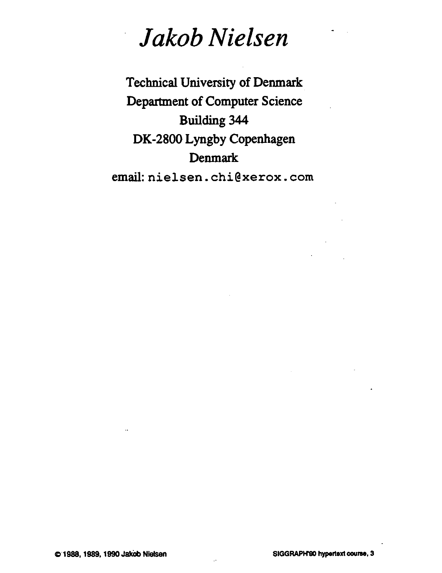# *Jakob Nielsen*

Technical University of Denmark Department of Computer Science Building 344 DK-2800 Lyngby Copenhagen Denmark email:nielsen.chi@xerox.com